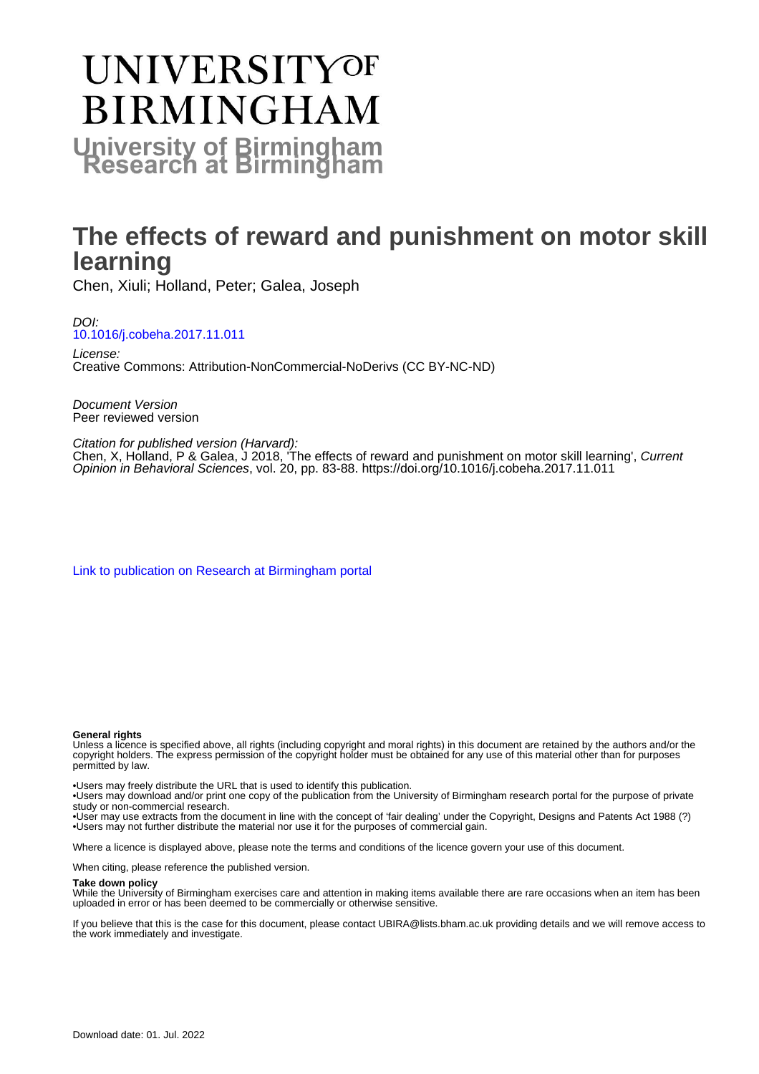# **UNIVERSITYOF BIRMINGHAM University of Birmingham**

# **The effects of reward and punishment on motor skill learning**

Chen, Xiuli; Holland, Peter; Galea, Joseph

DOI: [10.1016/j.cobeha.2017.11.011](https://doi.org/10.1016/j.cobeha.2017.11.011)

License: Creative Commons: Attribution-NonCommercial-NoDerivs (CC BY-NC-ND)

Document Version Peer reviewed version

Citation for published version (Harvard):

Chen, X, Holland, P & Galea, J 2018, The effects of reward and punishment on motor skill learning', Current Opinion in Behavioral Sciences, vol. 20, pp. 83-88. <https://doi.org/10.1016/j.cobeha.2017.11.011>

[Link to publication on Research at Birmingham portal](https://birmingham.elsevierpure.com/en/publications/e40a50af-6664-4f26-9c66-e5a407615a8d)

#### **General rights**

Unless a licence is specified above, all rights (including copyright and moral rights) in this document are retained by the authors and/or the copyright holders. The express permission of the copyright holder must be obtained for any use of this material other than for purposes permitted by law.

• Users may freely distribute the URL that is used to identify this publication.

• Users may download and/or print one copy of the publication from the University of Birmingham research portal for the purpose of private study or non-commercial research.

• User may use extracts from the document in line with the concept of 'fair dealing' under the Copyright, Designs and Patents Act 1988 (?) • Users may not further distribute the material nor use it for the purposes of commercial gain.

Where a licence is displayed above, please note the terms and conditions of the licence govern your use of this document.

When citing, please reference the published version.

#### **Take down policy**

While the University of Birmingham exercises care and attention in making items available there are rare occasions when an item has been uploaded in error or has been deemed to be commercially or otherwise sensitive.

If you believe that this is the case for this document, please contact UBIRA@lists.bham.ac.uk providing details and we will remove access to the work immediately and investigate.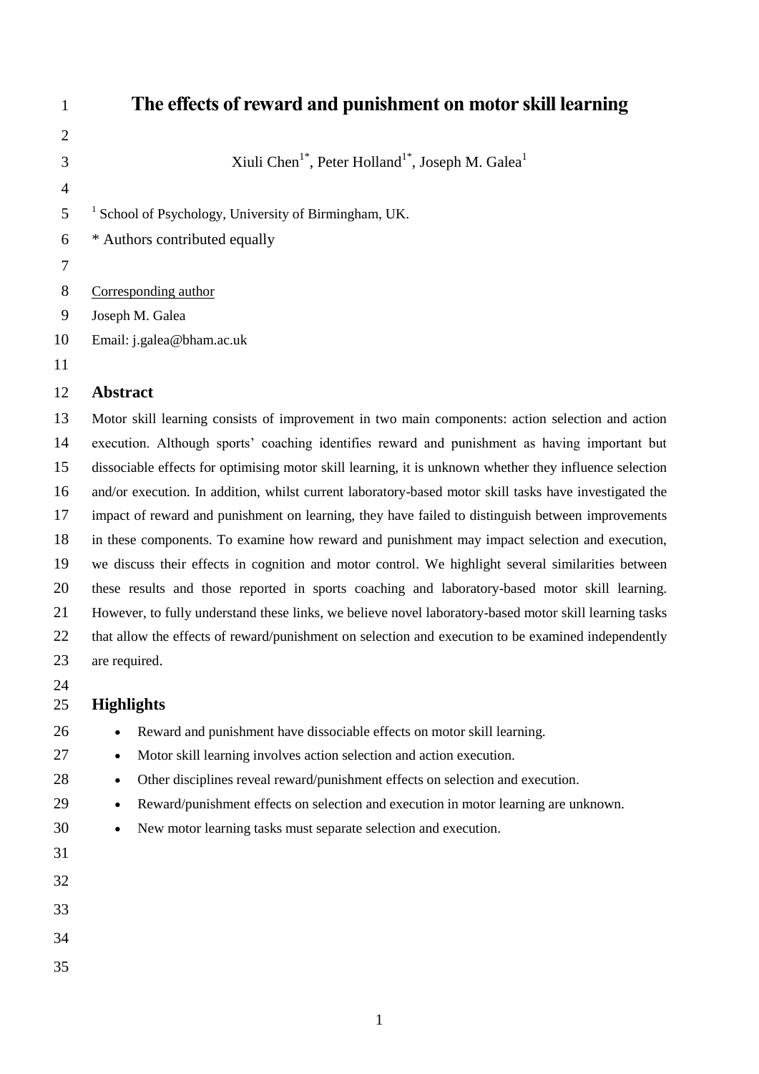| $\mathbf{1}$   | The effects of reward and punishment on motor skill learning                                            |
|----------------|---------------------------------------------------------------------------------------------------------|
| $\overline{2}$ |                                                                                                         |
| 3              | Xiuli Chen <sup>1*</sup> , Peter Holland <sup>1*</sup> , Joseph M. Galea <sup>1</sup>                   |
| $\overline{4}$ |                                                                                                         |
| 5              | <sup>1</sup> School of Psychology, University of Birmingham, UK.                                        |
| 6              | * Authors contributed equally                                                                           |
| 7              |                                                                                                         |
| $8\phantom{.}$ | Corresponding author                                                                                    |
| 9              | Joseph M. Galea                                                                                         |
| 10             | Email: j.galea@bham.ac.uk                                                                               |
| 11             |                                                                                                         |
| 12             | <b>Abstract</b>                                                                                         |
| 13             | Motor skill learning consists of improvement in two main components: action selection and action        |
| 14             | execution. Although sports' coaching identifies reward and punishment as having important but           |
| 15             | dissociable effects for optimising motor skill learning, it is unknown whether they influence selection |
| 16             | and/or execution. In addition, whilst current laboratory-based motor skill tasks have investigated the  |
| 17             | impact of reward and punishment on learning, they have failed to distinguish between improvements       |
| 18             | in these components. To examine how reward and punishment may impact selection and execution,           |
| 19             | we discuss their effects in cognition and motor control. We highlight several similarities between      |
| 20             | these results and those reported in sports coaching and laboratory-based motor skill learning.          |
| 21             | However, to fully understand these links, we believe novel laboratory-based motor skill learning tasks  |
| 22             | that allow the effects of reward/punishment on selection and execution to be examined independently     |
| 23             | are required.                                                                                           |
| 24<br>25       | <b>Highlights</b>                                                                                       |
| 26             | Reward and punishment have dissociable effects on motor skill learning.                                 |
| 27             | Motor skill learning involves action selection and action execution.<br>$\bullet$                       |
| 28             | Other disciplines reveal reward/punishment effects on selection and execution.<br>$\bullet$             |
| 29             | Reward/punishment effects on selection and execution in motor learning are unknown.<br>$\bullet$        |
| 30             | New motor learning tasks must separate selection and execution.<br>$\bullet$                            |
| 31             |                                                                                                         |
| 32             |                                                                                                         |
| 33             |                                                                                                         |
| 34             |                                                                                                         |

- 
-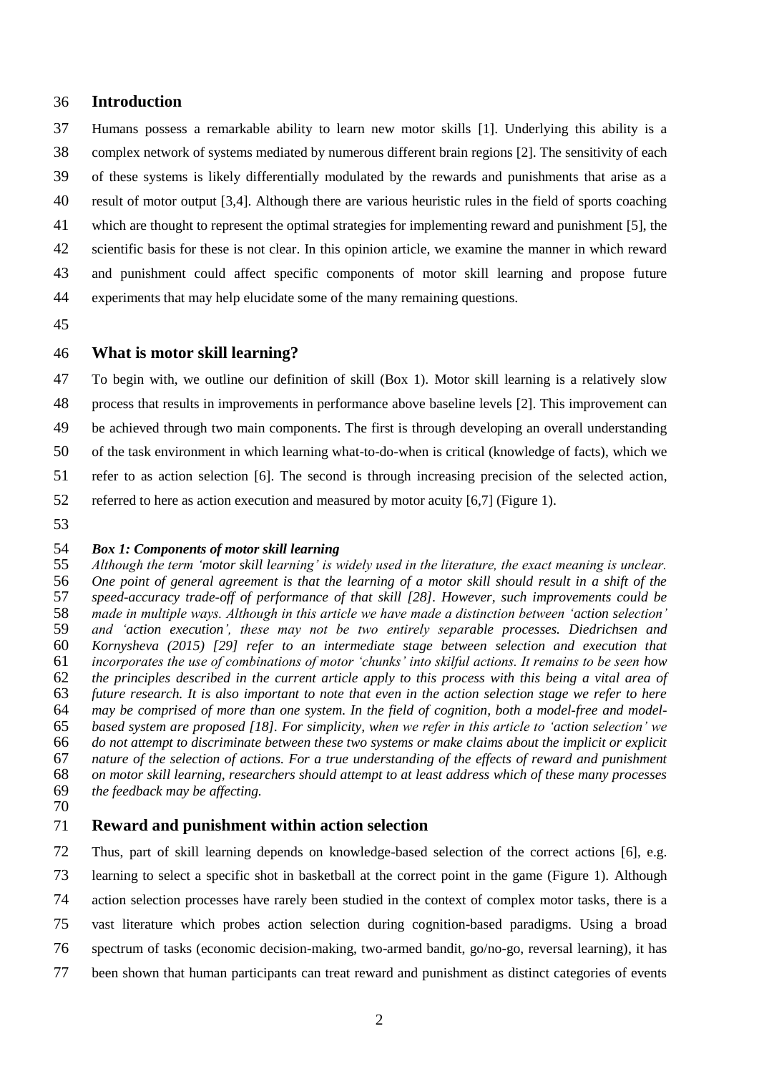#### **Introduction**

 Humans possess a remarkable ability to learn new motor skills [1]. Underlying this ability is a complex network of systems mediated by numerous different brain regions [2]. The sensitivity of each of these systems is likely differentially modulated by the rewards and punishments that arise as a result of motor output [3,4]. Although there are various heuristic rules in the field of sports coaching which are thought to represent the optimal strategies for implementing reward and punishment [5], the scientific basis for these is not clear. In this opinion article, we examine the manner in which reward and punishment could affect specific components of motor skill learning and propose future experiments that may help elucidate some of the many remaining questions.

#### **What is motor skill learning?**

 To begin with, we outline our definition of skill (Box 1). Motor skill learning is a relatively slow process that results in improvements in performance above baseline levels [2]. This improvement can be achieved through two main components. The first is through developing an overall understanding of the task environment in which learning what-to-do-when is critical (knowledge of facts), which we refer to as action selection [6]. The second is through increasing precision of the selected action, referred to here as action execution and measured by motor acuity [6,7] (Figure 1). 

# *Box 1: Components of motor skill learning*

 *Although the term 'motor skill learning' is widely used in the literature, the exact meaning is unclear. One point of general agreement is that the learning of a motor skill should result in a shift of the speed-accuracy trade-off of performance of that skill [28]. However, such improvements could be made in multiple ways. Although in this article we have made a distinction between 'action selection' and 'action execution', these may not be two entirely separable processes. Diedrichsen and Kornysheva (2015) [29] refer to an intermediate stage between selection and execution that incorporates the use of combinations of motor 'chunks' into skilful actions. It remains to be seen how the principles described in the current article apply to this process with this being a vital area of future research. It is also important to note that even in the action selection stage we refer to here may be comprised of more than one system. In the field of cognition, both a model-free and model- based system are proposed [18]. For simplicity, when we refer in this article to 'action selection' we do not attempt to discriminate between these two systems or make claims about the implicit or explicit nature of the selection of actions. For a true understanding of the effects of reward and punishment on motor skill learning, researchers should attempt to at least address which of these many processes the feedback may be affecting.*

#### **Reward and punishment within action selection**

 Thus, part of skill learning depends on knowledge-based selection of the correct actions [6], e.g. learning to select a specific shot in basketball at the correct point in the game (Figure 1). Although action selection processes have rarely been studied in the context of complex motor tasks, there is a vast literature which probes action selection during cognition-based paradigms. Using a broad spectrum of tasks (economic decision-making, two-armed bandit, go/no-go, reversal learning), it has been shown that human participants can treat reward and punishment as distinct categories of events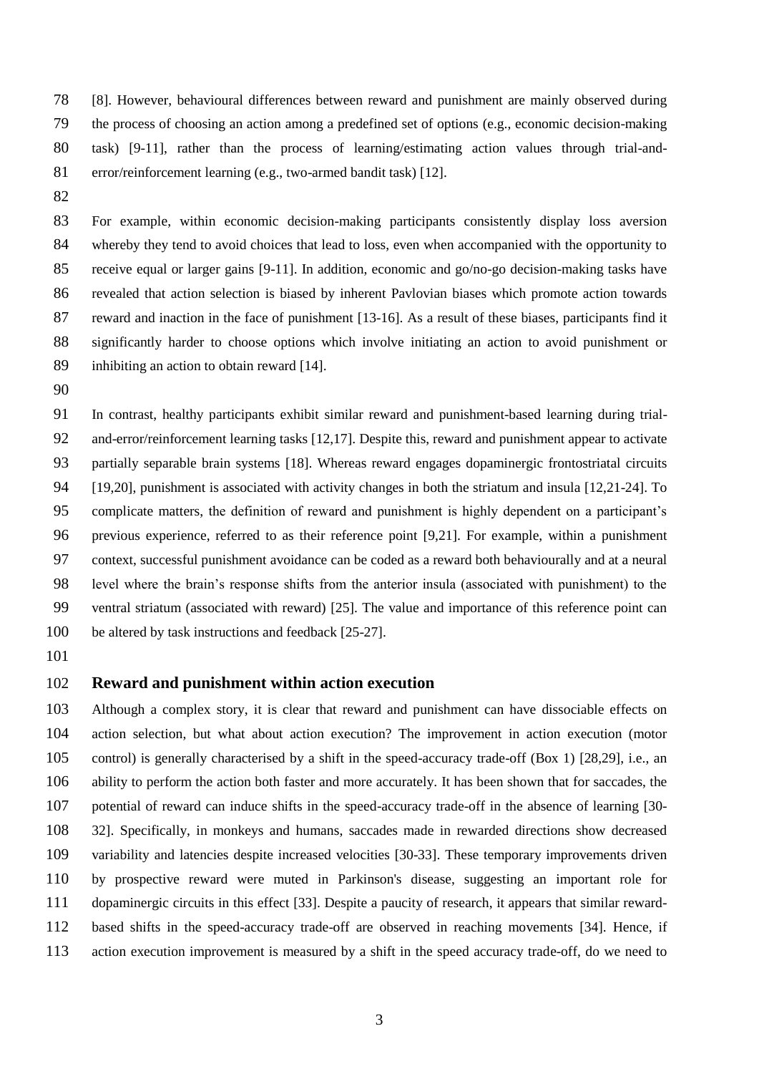[8]. However, behavioural differences between reward and punishment are mainly observed during the process of choosing an action among a predefined set of options (e.g., economic decision-making task) [9-11], rather than the process of learning/estimating action values through trial-and-81 error/reinforcement learning (e.g., two-armed bandit task) [12].

 For example, within economic decision-making participants consistently display loss aversion whereby they tend to avoid choices that lead to loss, even when accompanied with the opportunity to receive equal or larger gains [9-11]. In addition, economic and go/no-go decision-making tasks have revealed that action selection is biased by inherent Pavlovian biases which promote action towards reward and inaction in the face of punishment [13-16]. As a result of these biases, participants find it significantly harder to choose options which involve initiating an action to avoid punishment or inhibiting an action to obtain reward [14].

 In contrast, healthy participants exhibit similar reward and punishment-based learning during trial- and-error/reinforcement learning tasks [12,17]. Despite this, reward and punishment appear to activate partially separable brain systems [18]. Whereas reward engages dopaminergic frontostriatal circuits [19,20], punishment is associated with activity changes in both the striatum and insula [12,21-24]. To complicate matters, the definition of reward and punishment is highly dependent on a participant's previous experience, referred to as their reference point [9,21]. For example, within a punishment context, successful punishment avoidance can be coded as a reward both behaviourally and at a neural level where the brain's response shifts from the anterior insula (associated with punishment) to the ventral striatum (associated with reward) [25]. The value and importance of this reference point can be altered by task instructions and feedback [25-27].

### **Reward and punishment within action execution**

 Although a complex story, it is clear that reward and punishment can have dissociable effects on action selection, but what about action execution? The improvement in action execution (motor control) is generally characterised by a shift in the speed-accuracy trade-off (Box 1) [28,29], i.e., an ability to perform the action both faster and more accurately. It has been shown that for saccades, the potential of reward can induce shifts in the speed-accuracy trade-off in the absence of learning [30- 32]. Specifically, in monkeys and humans, saccades made in rewarded directions show decreased variability and latencies despite increased velocities [30-33]. These temporary improvements driven by prospective reward were muted in Parkinson's disease, suggesting an important role for dopaminergic circuits in this effect [33]. Despite a paucity of research, it appears that similar reward- based shifts in the speed-accuracy trade-off are observed in reaching movements [34]. Hence, if action execution improvement is measured by a shift in the speed accuracy trade-off, do we need to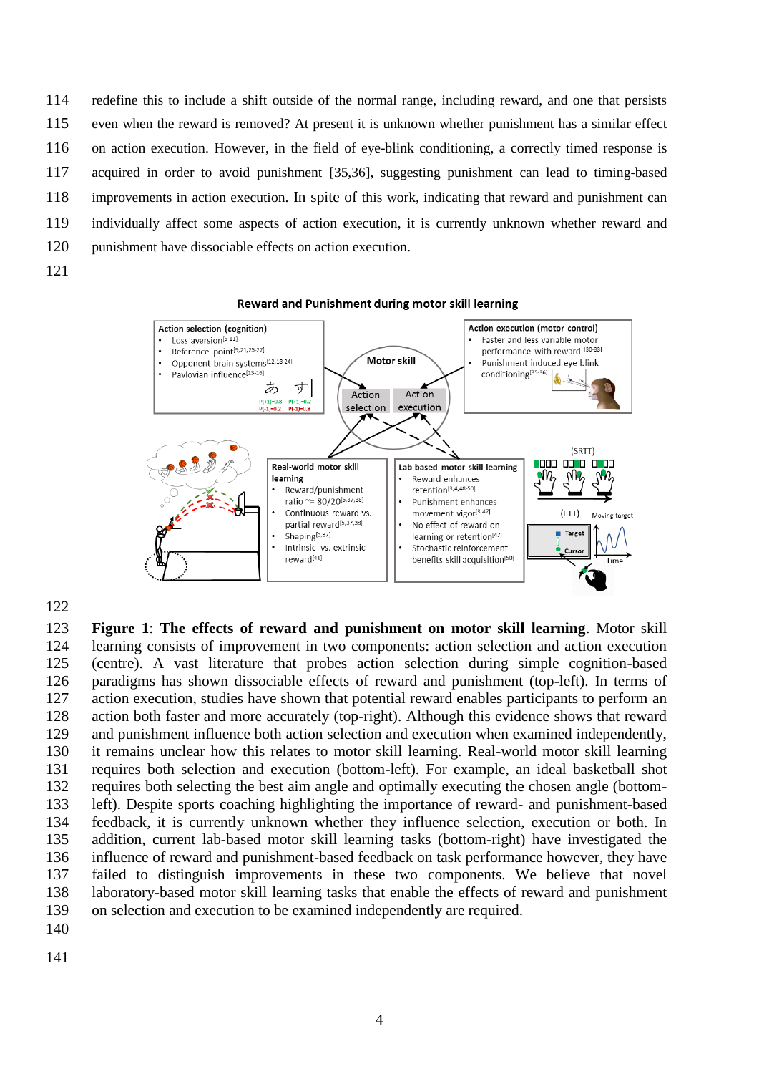redefine this to include a shift outside of the normal range, including reward, and one that persists even when the reward is removed? At present it is unknown whether punishment has a similar effect on action execution. However, in the field of eye-blink conditioning, a correctly timed response is acquired in order to avoid punishment [35,36], suggesting punishment can lead to timing-based improvements in action execution. In spite of this work, indicating that reward and punishment can individually affect some aspects of action execution, it is currently unknown whether reward and punishment have dissociable effects on action execution.



 **Figure 1**: **The effects of reward and punishment on motor skill learning**. Motor skill learning consists of improvement in two components: action selection and action execution (centre). A vast literature that probes action selection during simple cognition-based paradigms has shown dissociable effects of reward and punishment (top-left). In terms of action execution, studies have shown that potential reward enables participants to perform an action both faster and more accurately (top-right). Although this evidence shows that reward and punishment influence both action selection and execution when examined independently, it remains unclear how this relates to motor skill learning. Real-world motor skill learning requires both selection and execution (bottom-left). For example, an ideal basketball shot requires both selecting the best aim angle and optimally executing the chosen angle (bottom- left). Despite sports coaching highlighting the importance of reward- and punishment-based feedback, it is currently unknown whether they influence selection, execution or both. In addition, current lab-based motor skill learning tasks (bottom-right) have investigated the influence of reward and punishment-based feedback on task performance however, they have failed to distinguish improvements in these two components. We believe that novel laboratory-based motor skill learning tasks that enable the effects of reward and punishment on selection and execution to be examined independently are required.

- 
-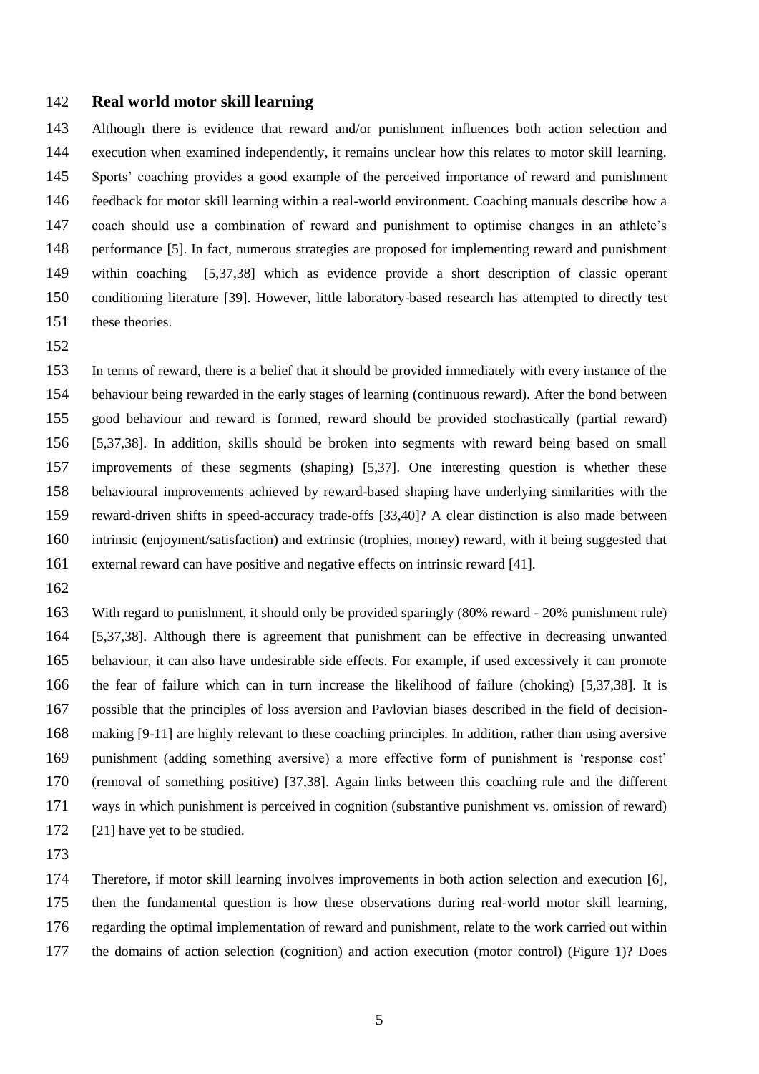#### **Real world motor skill learning**

 Although there is evidence that reward and/or punishment influences both action selection and execution when examined independently, it remains unclear how this relates to motor skill learning. Sports' coaching provides a good example of the perceived importance of reward and punishment feedback for motor skill learning within a real-world environment. Coaching manuals describe how a coach should use a combination of reward and punishment to optimise changes in an athlete's performance [5]. In fact, numerous strategies are proposed for implementing reward and punishment within coaching [5,37,38] which as evidence provide a short description of classic operant conditioning literature [39]. However, little laboratory-based research has attempted to directly test these theories.

 In terms of reward, there is a belief that it should be provided immediately with every instance of the behaviour being rewarded in the early stages of learning (continuous reward). After the bond between good behaviour and reward is formed, reward should be provided stochastically (partial reward) [5,37,38]. In addition, skills should be broken into segments with reward being based on small improvements of these segments (shaping) [5,37]. One interesting question is whether these behavioural improvements achieved by reward-based shaping have underlying similarities with the reward-driven shifts in speed-accuracy trade-offs [33,40]? A clear distinction is also made between intrinsic (enjoyment/satisfaction) and extrinsic (trophies, money) reward, with it being suggested that external reward can have positive and negative effects on intrinsic reward [41].

 With regard to punishment, it should only be provided sparingly (80% reward - 20% punishment rule) [5,37,38]. Although there is agreement that punishment can be effective in decreasing unwanted behaviour, it can also have undesirable side effects. For example, if used excessively it can promote the fear of failure which can in turn increase the likelihood of failure (choking) [5,37,38]. It is possible that the principles of loss aversion and Pavlovian biases described in the field of decision- making [9-11] are highly relevant to these coaching principles. In addition, rather than using aversive punishment (adding something aversive) a more effective form of punishment is 'response cost' (removal of something positive) [37,38]. Again links between this coaching rule and the different ways in which punishment is perceived in cognition (substantive punishment vs. omission of reward) 172 [21] have yet to be studied.

 Therefore, if motor skill learning involves improvements in both action selection and execution [6], then the fundamental question is how these observations during real-world motor skill learning, regarding the optimal implementation of reward and punishment, relate to the work carried out within the domains of action selection (cognition) and action execution (motor control) (Figure 1)? Does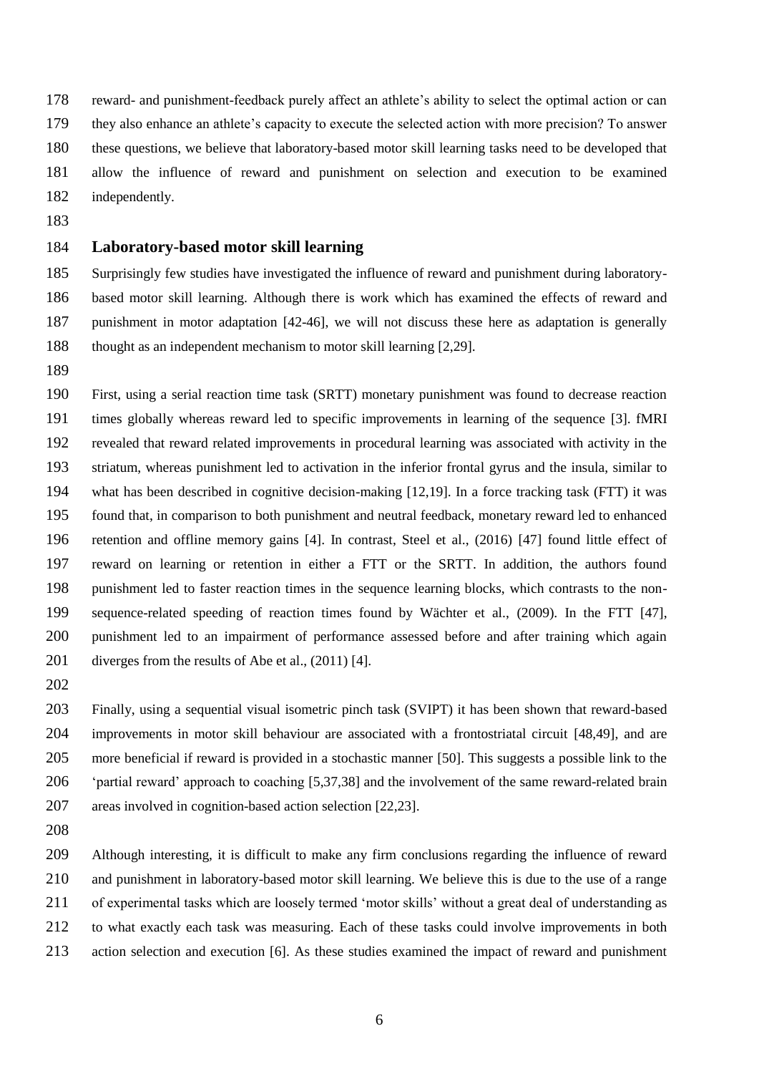reward- and punishment-feedback purely affect an athlete's ability to select the optimal action or can

- they also enhance an athlete's capacity to execute the selected action with more precision? To answer
- these questions, we believe that laboratory-based motor skill learning tasks need to be developed that
- allow the influence of reward and punishment on selection and execution to be examined independently.
- 

### **Laboratory-based motor skill learning**

 Surprisingly few studies have investigated the influence of reward and punishment during laboratory- based motor skill learning. Although there is work which has examined the effects of reward and punishment in motor adaptation [42-46], we will not discuss these here as adaptation is generally thought as an independent mechanism to motor skill learning [2,29].

 First, using a serial reaction time task (SRTT) monetary punishment was found to decrease reaction times globally whereas reward led to specific improvements in learning of the sequence [3]. fMRI revealed that reward related improvements in procedural learning was associated with activity in the striatum, whereas punishment led to activation in the inferior frontal gyrus and the insula, similar to what has been described in cognitive decision-making [12,19]. In a force tracking task (FTT) it was found that, in comparison to both punishment and neutral feedback, monetary reward led to enhanced retention and offline memory gains [4]. In contrast, Steel et al., (2016) [47] found little effect of reward on learning or retention in either a FTT or the SRTT. In addition, the authors found punishment led to faster reaction times in the sequence learning blocks, which contrasts to the non- sequence-related speeding of reaction times found by Wächter et al., (2009). In the FTT [47], punishment led to an impairment of performance assessed before and after training which again diverges from the results of Abe et al., (2011) [4].

 Finally, using a sequential visual isometric pinch task (SVIPT) it has been shown that reward-based improvements in motor skill behaviour are associated with a frontostriatal circuit [48,49], and are more beneficial if reward is provided in a stochastic manner [50]. This suggests a possible link to the 'partial reward' approach to coaching [5,37,38] and the involvement of the same reward-related brain areas involved in cognition-based action selection [22,23].

 Although interesting, it is difficult to make any firm conclusions regarding the influence of reward and punishment in laboratory-based motor skill learning. We believe this is due to the use of a range of experimental tasks which are loosely termed 'motor skills' without a great deal of understanding as to what exactly each task was measuring. Each of these tasks could involve improvements in both action selection and execution [6]. As these studies examined the impact of reward and punishment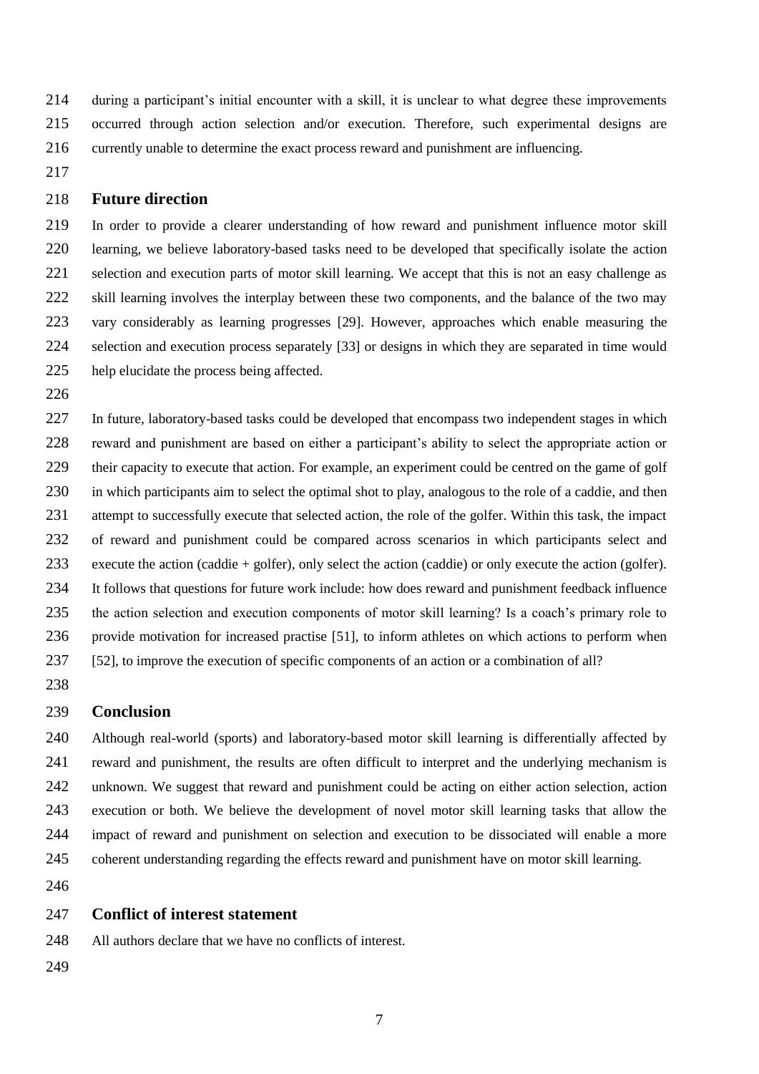during a participant's initial encounter with a skill, it is unclear to what degree these improvements occurred through action selection and/or execution. Therefore, such experimental designs are currently unable to determine the exact process reward and punishment are influencing.

## **Future direction**

 In order to provide a clearer understanding of how reward and punishment influence motor skill learning, we believe laboratory-based tasks need to be developed that specifically isolate the action 221 selection and execution parts of motor skill learning. We accept that this is not an easy challenge as skill learning involves the interplay between these two components, and the balance of the two may vary considerably as learning progresses [29]. However, approaches which enable measuring the selection and execution process separately [33] or designs in which they are separated in time would help elucidate the process being affected.

 In future, laboratory-based tasks could be developed that encompass two independent stages in which reward and punishment are based on either a participant's ability to select the appropriate action or their capacity to execute that action. For example, an experiment could be centred on the game of golf in which participants aim to select the optimal shot to play, analogous to the role of a caddie, and then attempt to successfully execute that selected action, the role of the golfer. Within this task, the impact of reward and punishment could be compared across scenarios in which participants select and execute the action (caddie + golfer), only select the action (caddie) or only execute the action (golfer). It follows that questions for future work include: how does reward and punishment feedback influence the action selection and execution components of motor skill learning? Is a coach's primary role to provide motivation for increased practise [51], to inform athletes on which actions to perform when [52], to improve the execution of specific components of an action or a combination of all?

#### **Conclusion**

 Although real-world (sports) and laboratory-based motor skill learning is differentially affected by reward and punishment, the results are often difficult to interpret and the underlying mechanism is unknown. We suggest that reward and punishment could be acting on either action selection, action execution or both. We believe the development of novel motor skill learning tasks that allow the impact of reward and punishment on selection and execution to be dissociated will enable a more coherent understanding regarding the effects reward and punishment have on motor skill learning.

#### **Conflict of interest statement**

All authors declare that we have no conflicts of interest.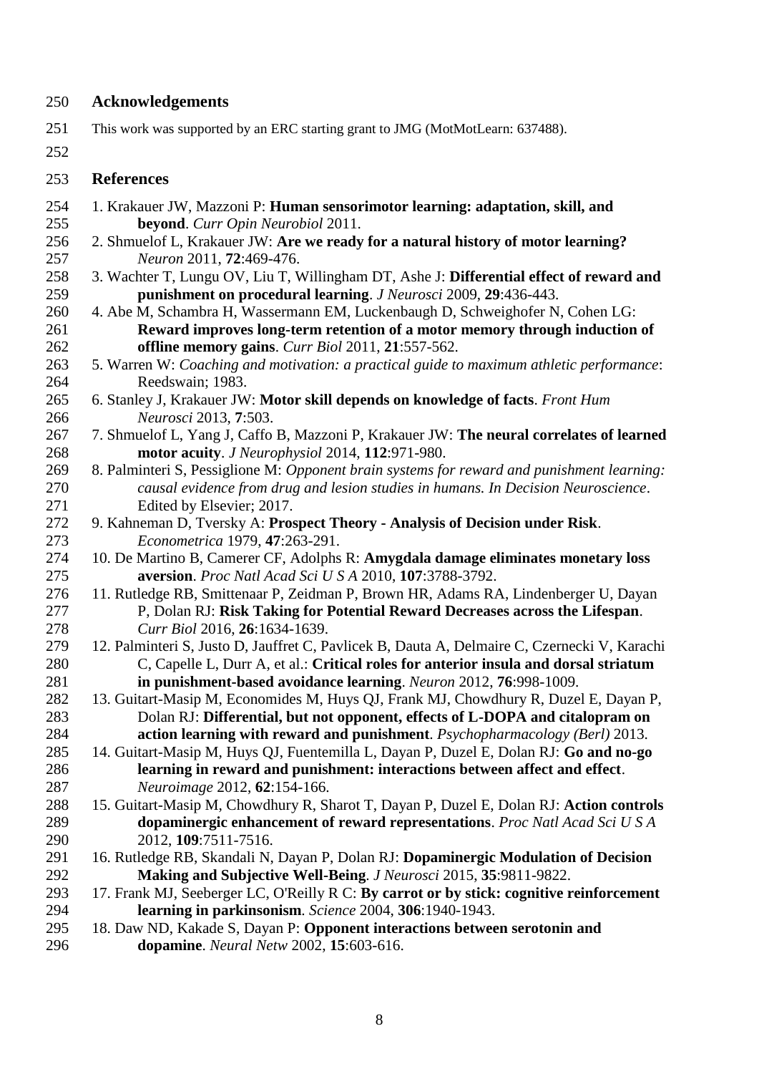# **Acknowledgements**

- This work was supported by an ERC starting grant to JMG (MotMotLearn: 637488).
- 

# **References**

- 1. Krakauer JW, Mazzoni P: **Human sensorimotor learning: adaptation, skill, and beyond**. *Curr Opin Neurobiol* 2011.
- 2. Shmuelof L, Krakauer JW: **Are we ready for a natural history of motor learning?** *Neuron* 2011, **72**:469-476.
- 3. Wachter T, Lungu OV, Liu T, Willingham DT, Ashe J: **Differential effect of reward and punishment on procedural learning**. *J Neurosci* 2009, **29**:436-443.
- 4. Abe M, Schambra H, Wassermann EM, Luckenbaugh D, Schweighofer N, Cohen LG: **Reward improves long-term retention of a motor memory through induction of offline memory gains**. *Curr Biol* 2011, **21**:557-562.
- 5. Warren W: *Coaching and motivation: a practical guide to maximum athletic performance*: Reedswain; 1983.
- 6. Stanley J, Krakauer JW: **Motor skill depends on knowledge of facts**. *Front Hum Neurosci* 2013, **7**:503.
- 7. Shmuelof L, Yang J, Caffo B, Mazzoni P, Krakauer JW: **The neural correlates of learned motor acuity**. *J Neurophysiol* 2014, **112**:971-980.
- 8. Palminteri S, Pessiglione M: *Opponent brain systems for reward and punishment learning: causal evidence from drug and lesion studies in humans. In Decision Neuroscience*. Edited by Elsevier; 2017.
- 9. Kahneman D, Tversky A: **Prospect Theory - Analysis of Decision under Risk**. *Econometrica* 1979, **47**:263-291.
- 10. De Martino B, Camerer CF, Adolphs R: **Amygdala damage eliminates monetary loss aversion**. *Proc Natl Acad Sci U S A* 2010, **107**:3788-3792.
- 11. Rutledge RB, Smittenaar P, Zeidman P, Brown HR, Adams RA, Lindenberger U, Dayan P, Dolan RJ: **Risk Taking for Potential Reward Decreases across the Lifespan**. *Curr Biol* 2016, **26**:1634-1639.
- 12. Palminteri S, Justo D, Jauffret C, Pavlicek B, Dauta A, Delmaire C, Czernecki V, Karachi C, Capelle L, Durr A, et al.: **Critical roles for anterior insula and dorsal striatum in punishment-based avoidance learning**. *Neuron* 2012, **76**:998-1009.
- 13. Guitart-Masip M, Economides M, Huys QJ, Frank MJ, Chowdhury R, Duzel E, Dayan P, Dolan RJ: **Differential, but not opponent, effects of L-DOPA and citalopram on action learning with reward and punishment**. *Psychopharmacology (Berl)* 2013.
- 14. Guitart-Masip M, Huys QJ, Fuentemilla L, Dayan P, Duzel E, Dolan RJ: **Go and no-go learning in reward and punishment: interactions between affect and effect**. *Neuroimage* 2012, **62**:154-166.
- 15. Guitart-Masip M, Chowdhury R, Sharot T, Dayan P, Duzel E, Dolan RJ: **Action controls dopaminergic enhancement of reward representations**. *Proc Natl Acad Sci U S A*  2012, **109**:7511-7516.
- 16. Rutledge RB, Skandali N, Dayan P, Dolan RJ: **Dopaminergic Modulation of Decision Making and Subjective Well-Being**. *J Neurosci* 2015, **35**:9811-9822.
- 17. Frank MJ, Seeberger LC, O'Reilly R C: **By carrot or by stick: cognitive reinforcement learning in parkinsonism**. *Science* 2004, **306**:1940-1943.
- 18. Daw ND, Kakade S, Dayan P: **Opponent interactions between serotonin and dopamine**. *Neural Netw* 2002, **15**:603-616.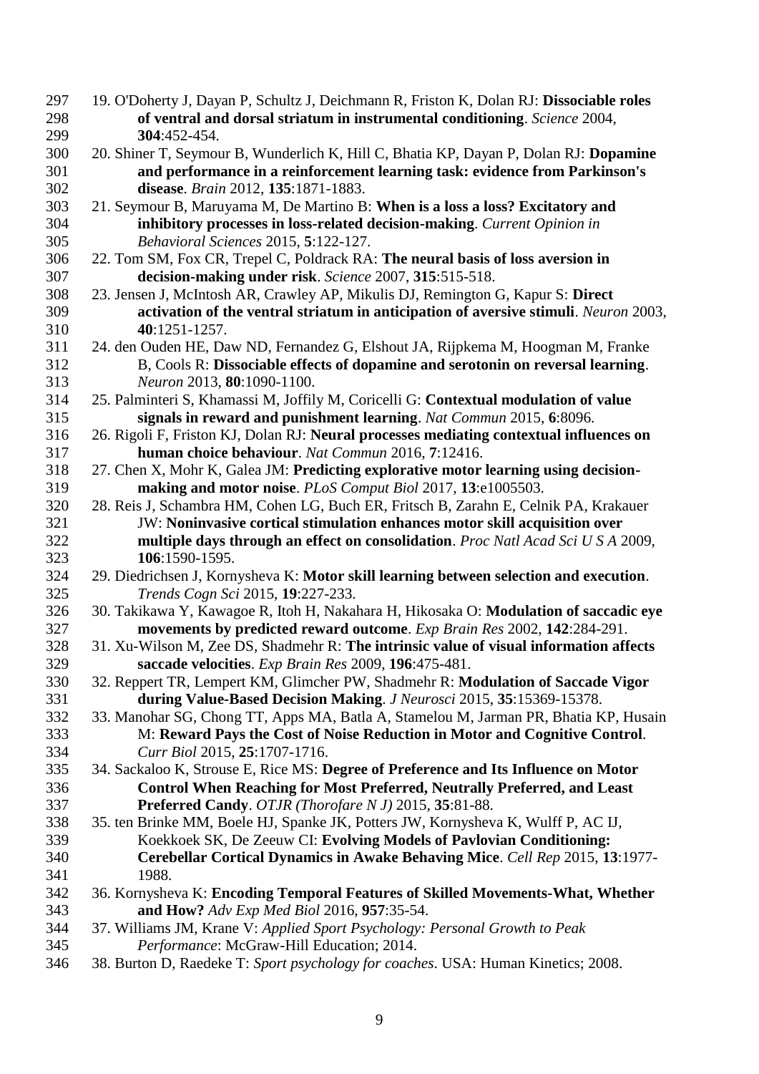- 19. O'Doherty J, Dayan P, Schultz J, Deichmann R, Friston K, Dolan RJ: **Dissociable roles of ventral and dorsal striatum in instrumental conditioning**. *Science* 2004, **304**:452-454.
- 20. Shiner T, Seymour B, Wunderlich K, Hill C, Bhatia KP, Dayan P, Dolan RJ: **Dopamine and performance in a reinforcement learning task: evidence from Parkinson's disease**. *Brain* 2012, **135**:1871-1883.
- 21. Seymour B, Maruyama M, De Martino B: **When is a loss a loss? Excitatory and inhibitory processes in loss-related decision-making**. *Current Opinion in Behavioral Sciences* 2015, **5**:122-127.
- 22. Tom SM, Fox CR, Trepel C, Poldrack RA: **The neural basis of loss aversion in decision-making under risk**. *Science* 2007, **315**:515-518.
- 23. Jensen J, McIntosh AR, Crawley AP, Mikulis DJ, Remington G, Kapur S: **Direct activation of the ventral striatum in anticipation of aversive stimuli**. *Neuron* 2003, **40**:1251-1257.
- 24. den Ouden HE, Daw ND, Fernandez G, Elshout JA, Rijpkema M, Hoogman M, Franke B, Cools R: **Dissociable effects of dopamine and serotonin on reversal learning**. *Neuron* 2013, **80**:1090-1100.
- 25. Palminteri S, Khamassi M, Joffily M, Coricelli G: **Contextual modulation of value signals in reward and punishment learning**. *Nat Commun* 2015, **6**:8096.
- 26. Rigoli F, Friston KJ, Dolan RJ: **Neural processes mediating contextual influences on human choice behaviour**. *Nat Commun* 2016, **7**:12416.
- 27. Chen X, Mohr K, Galea JM: **Predicting explorative motor learning using decision-making and motor noise**. *PLoS Comput Biol* 2017, **13**:e1005503.
- 28. Reis J, Schambra HM, Cohen LG, Buch ER, Fritsch B, Zarahn E, Celnik PA, Krakauer JW: **Noninvasive cortical stimulation enhances motor skill acquisition over multiple days through an effect on consolidation**. *Proc Natl Acad Sci U S A* 2009, **106**:1590-1595.
- 29. Diedrichsen J, Kornysheva K: **Motor skill learning between selection and execution**. *Trends Cogn Sci* 2015, **19**:227-233.
- 30. Takikawa Y, Kawagoe R, Itoh H, Nakahara H, Hikosaka O: **Modulation of saccadic eye movements by predicted reward outcome**. *Exp Brain Res* 2002, **142**:284-291.
- 31. Xu-Wilson M, Zee DS, Shadmehr R: **The intrinsic value of visual information affects saccade velocities**. *Exp Brain Res* 2009, **196**:475-481.
- 32. Reppert TR, Lempert KM, Glimcher PW, Shadmehr R: **Modulation of Saccade Vigor during Value-Based Decision Making**. *J Neurosci* 2015, **35**:15369-15378.
- 33. Manohar SG, Chong TT, Apps MA, Batla A, Stamelou M, Jarman PR, Bhatia KP, Husain M: **Reward Pays the Cost of Noise Reduction in Motor and Cognitive Control**. *Curr Biol* 2015, **25**:1707-1716.
- 34. Sackaloo K, Strouse E, Rice MS: **Degree of Preference and Its Influence on Motor Control When Reaching for Most Preferred, Neutrally Preferred, and Least Preferred Candy**. *OTJR (Thorofare N J)* 2015, **35**:81-88.
- 35. ten Brinke MM, Boele HJ, Spanke JK, Potters JW, Kornysheva K, Wulff P, AC IJ, Koekkoek SK, De Zeeuw CI: **Evolving Models of Pavlovian Conditioning: Cerebellar Cortical Dynamics in Awake Behaving Mice**. *Cell Rep* 2015, **13**:1977- 1988.
- 36. Kornysheva K: **Encoding Temporal Features of Skilled Movements-What, Whether and How?** *Adv Exp Med Biol* 2016, **957**:35-54.
- 37. Williams JM, Krane V: *Applied Sport Psychology: Personal Growth to Peak Performance*: McGraw-Hill Education; 2014.
- 38. Burton D, Raedeke T: *Sport psychology for coaches*. USA: Human Kinetics; 2008.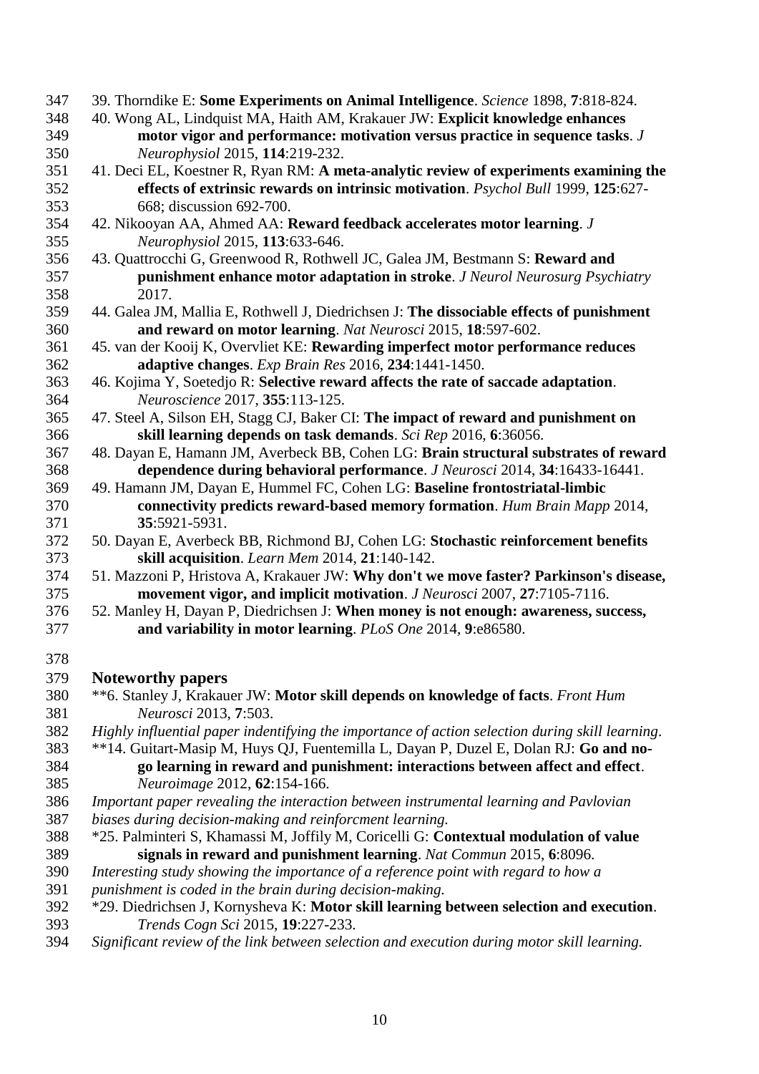- 39. Thorndike E: **Some Experiments on Animal Intelligence**. *Science* 1898, **7**:818-824.
- 40. Wong AL, Lindquist MA, Haith AM, Krakauer JW: **Explicit knowledge enhances motor vigor and performance: motivation versus practice in sequence tasks**. *J Neurophysiol* 2015, **114**:219-232.
- 41. Deci EL, Koestner R, Ryan RM: **A meta-analytic review of experiments examining the effects of extrinsic rewards on intrinsic motivation**. *Psychol Bull* 1999, **125**:627- 668; discussion 692-700.
- 42. Nikooyan AA, Ahmed AA: **Reward feedback accelerates motor learning**. *J Neurophysiol* 2015, **113**:633-646.
- 43. Quattrocchi G, Greenwood R, Rothwell JC, Galea JM, Bestmann S: **Reward and punishment enhance motor adaptation in stroke**. *J Neurol Neurosurg Psychiatry*  2017.
- 44. Galea JM, Mallia E, Rothwell J, Diedrichsen J: **The dissociable effects of punishment and reward on motor learning**. *Nat Neurosci* 2015, **18**:597-602.
- 45. van der Kooij K, Overvliet KE: **Rewarding imperfect motor performance reduces adaptive changes**. *Exp Brain Res* 2016, **234**:1441-1450.
- 46. Kojima Y, Soetedjo R: **Selective reward affects the rate of saccade adaptation**. *Neuroscience* 2017, **355**:113-125.
- 47. Steel A, Silson EH, Stagg CJ, Baker CI: **The impact of reward and punishment on skill learning depends on task demands**. *Sci Rep* 2016, **6**:36056.
- 48. Dayan E, Hamann JM, Averbeck BB, Cohen LG: **Brain structural substrates of reward dependence during behavioral performance**. *J Neurosci* 2014, **34**:16433-16441.
- 49. Hamann JM, Dayan E, Hummel FC, Cohen LG: **Baseline frontostriatal-limbic connectivity predicts reward-based memory formation**. *Hum Brain Mapp* 2014, **35**:5921-5931.
- 50. Dayan E, Averbeck BB, Richmond BJ, Cohen LG: **Stochastic reinforcement benefits skill acquisition**. *Learn Mem* 2014, **21**:140-142.
- 51. Mazzoni P, Hristova A, Krakauer JW: **Why don't we move faster? Parkinson's disease, movement vigor, and implicit motivation**. *J Neurosci* 2007, **27**:7105-7116.
- 52. Manley H, Dayan P, Diedrichsen J: **When money is not enough: awareness, success, and variability in motor learning**. *PLoS One* 2014, **9**:e86580.
- 

# **Noteworthy papers**

- \*\*6. Stanley J, Krakauer JW: **Motor skill depends on knowledge of facts**. *Front Hum Neurosci* 2013, **7**:503.
- *Highly influential paper indentifying the importance of action selection during skill learning*.
- \*\*14. Guitart-Masip M, Huys QJ, Fuentemilla L, Dayan P, Duzel E, Dolan RJ: **Go and no- go learning in reward and punishment: interactions between affect and effect**. *Neuroimage* 2012, **62**:154-166.
- *Important paper revealing the interaction between instrumental learning and Pavlovian*
- *biases during decision-making and reinforcment learning.*
- \*25. Palminteri S, Khamassi M, Joffily M, Coricelli G: **Contextual modulation of value signals in reward and punishment learning**. *Nat Commun* 2015, **6**:8096.
- *Interesting study showing the importance of a reference point with regard to how a*
- *punishment is coded in the brain during decision-making.*
- \*29. Diedrichsen J, Kornysheva K: **Motor skill learning between selection and execution**. *Trends Cogn Sci* 2015, **19**:227-233.
- *Significant review of the link between selection and execution during motor skill learning.*